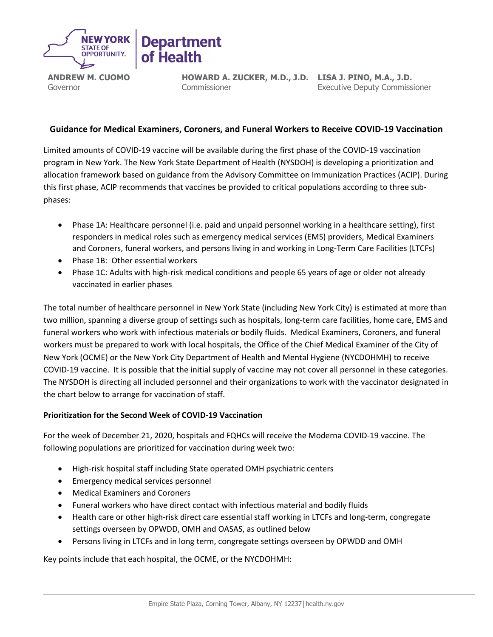

**ANDREW M. CUOMO** Governor

**HOWARD A. ZUCKER, M.D., J.D. LISA J. PINO, M.A., J.D.** Commissioner

Executive Deputy Commissioner

# **Guidance for Medical Examiners, Coroners, and Funeral Workers to Receive COVID-19 Vaccination**

Limited amounts of COVID-19 vaccine will be available during the first phase of the COVID-19 vaccination program in New York. The New York State Department of Health (NYSDOH) is developing a prioritization and allocation framework based on guidance from the Advisory Committee on Immunization Practices (ACIP). During this first phase, ACIP recommends that vaccines be provided to critical populations according to three subphases:

- Phase 1A: Healthcare personnel (i.e. paid and unpaid personnel working in a healthcare setting), first responders in medical roles such as emergency medical services (EMS) providers, Medical Examiners and Coroners, funeral workers, and persons living in and working in Long-Term Care Facilities (LTCFs)
- Phase 1B: Other essential workers
- Phase 1C: Adults with high-risk medical conditions and people 65 years of age or older not already vaccinated in earlier phases

The total number of healthcare personnel in New York State (including New York City) is estimated at more than two million, spanning a diverse group of settings such as hospitals, long-term care facilities, home care, EMS and funeral workers who work with infectious materials or bodily fluids. Medical Examiners, Coroners, and funeral workers must be prepared to work with local hospitals, the Office of the Chief Medical Examiner of the City of New York (OCME) or the New York City Department of Health and Mental Hygiene (NYCDOHMH) to receive COVID-19 vaccine. It is possible that the initial supply of vaccine may not cover all personnel in these categories. The NYSDOH is directing all included personnel and their organizations to work with the vaccinator designated in the chart below to arrange for vaccination of staff.

## **Prioritization for the Second Week of COVID-19 Vaccination**

For the week of December 21, 2020, hospitals and FQHCs will receive the Moderna COVID-19 vaccine. The following populations are prioritized for vaccination during week two:

- High-risk hospital staff including State operated OMH psychiatric centers
- Emergency medical services personnel
- Medical Examiners and Coroners
- Funeral workers who have direct contact with infectious material and bodily fluids
- Health care or other high-risk direct care essential staff working in LTCFs and long-term, congregate settings overseen by OPWDD, OMH and OASAS, as outlined below
- Persons living in LTCFs and in long term, congregate settings overseen by OPWDD and OMH

Key points include that each hospital, the OCME, or the NYCDOHMH: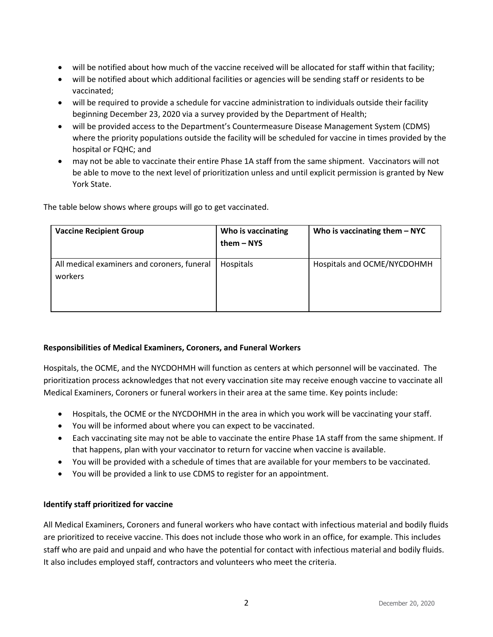- will be notified about how much of the vaccine received will be allocated for staff within that facility;
- will be notified about which additional facilities or agencies will be sending staff or residents to be vaccinated;
- will be required to provide a schedule for vaccine administration to individuals outside their facility beginning December 23, 2020 via a survey provided by the Department of Health;
- will be provided access to the Department's Countermeasure Disease Management System (CDMS) where the priority populations outside the facility will be scheduled for vaccine in times provided by the hospital or FQHC; and
- may not be able to vaccinate their entire Phase 1A staff from the same shipment. Vaccinators will not be able to move to the next level of prioritization unless and until explicit permission is granted by New York State.

The table below shows where groups will go to get vaccinated.

| <b>Vaccine Recipient Group</b>                         | Who is vaccinating<br>them – NYS | Who is vaccinating them $-$ NYC |
|--------------------------------------------------------|----------------------------------|---------------------------------|
| All medical examiners and coroners, funeral<br>workers | Hospitals                        | Hospitals and OCME/NYCDOHMH     |

## **Responsibilities of Medical Examiners, Coroners, and Funeral Workers**

Hospitals, the OCME, and the NYCDOHMH will function as centers at which personnel will be vaccinated. The prioritization process acknowledges that not every vaccination site may receive enough vaccine to vaccinate all Medical Examiners, Coroners or funeral workers in their area at the same time. Key points include:

- Hospitals, the OCME or the NYCDOHMH in the area in which you work will be vaccinating your staff.
- You will be informed about where you can expect to be vaccinated.
- Each vaccinating site may not be able to vaccinate the entire Phase 1A staff from the same shipment. If that happens, plan with your vaccinator to return for vaccine when vaccine is available.
- You will be provided with a schedule of times that are available for your members to be vaccinated.
- You will be provided a link to use CDMS to register for an appointment.

## **Identify staff prioritized for vaccine**

All Medical Examiners, Coroners and funeral workers who have contact with infectious material and bodily fluids are prioritized to receive vaccine. This does not include those who work in an office, for example. This includes staff who are paid and unpaid and who have the potential for contact with infectious material and bodily fluids. It also includes employed staff, contractors and volunteers who meet the criteria.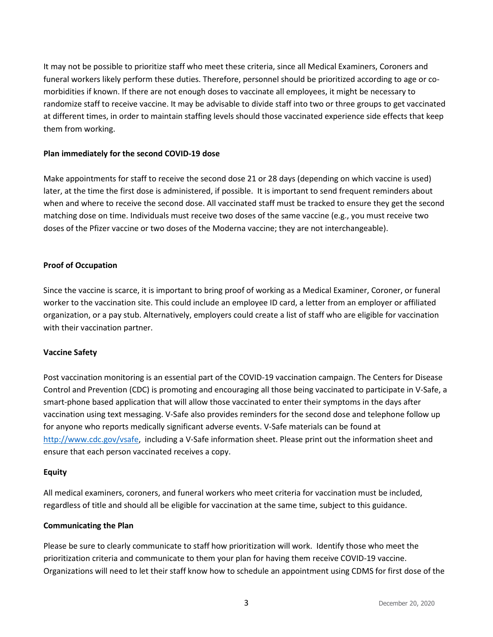It may not be possible to prioritize staff who meet these criteria, since all Medical Examiners, Coroners and funeral workers likely perform these duties. Therefore, personnel should be prioritized according to age or comorbidities if known. If there are not enough doses to vaccinate all employees, it might be necessary to randomize staff to receive vaccine. It may be advisable to divide staff into two or three groups to get vaccinated at different times, in order to maintain staffing levels should those vaccinated experience side effects that keep them from working.

#### **Plan immediately for the second COVID-19 dose**

Make appointments for staff to receive the second dose 21 or 28 days (depending on which vaccine is used) later, at the time the first dose is administered, if possible. It is important to send frequent reminders about when and where to receive the second dose. All vaccinated staff must be tracked to ensure they get the second matching dose on time. Individuals must receive two doses of the same vaccine (e.g., you must receive two doses of the Pfizer vaccine or two doses of the Moderna vaccine; they are not interchangeable).

### **Proof of Occupation**

Since the vaccine is scarce, it is important to bring proof of working as a Medical Examiner, Coroner, or funeral worker to the vaccination site. This could include an employee ID card, a letter from an employer or affiliated organization, or a pay stub. Alternatively, employers could create a list of staff who are eligible for vaccination with their vaccination partner.

#### **Vaccine Safety**

Post vaccination monitoring is an essential part of the COVID-19 vaccination campaign. The Centers for Disease Control and Prevention (CDC) is promoting and encouraging all those being vaccinated to participate in V-Safe, a smart-phone based application that will allow those vaccinated to enter their symptoms in the days after vaccination using text messaging. V-Safe also provides reminders for the second dose and telephone follow up for anyone who reports medically significant adverse events. V-Safe materials can be found at [http://www.cdc.gov/vsafe,](http://www.cdc.gov/vsafe) including a V-Safe information sheet. Please print out the information sheet and ensure that each person vaccinated receives a copy.

#### **Equity**

All medical examiners, coroners, and funeral workers who meet criteria for vaccination must be included, regardless of title and should all be eligible for vaccination at the same time, subject to this guidance.

#### **Communicating the Plan**

Please be sure to clearly communicate to staff how prioritization will work. Identify those who meet the prioritization criteria and communicate to them your plan for having them receive COVID-19 vaccine. Organizations will need to let their staff know how to schedule an appointment using CDMS for first dose of the